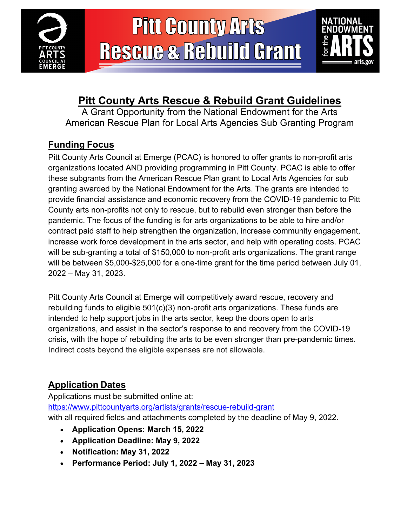



### **Pitt County Arts Rescue & Rebuild Grant Guidelines**

A Grant Opportunity from the National Endowment for the Arts American Rescue Plan for Local Arts Agencies Sub Granting Program

### **Funding Focus**

Pitt County Arts Council at Emerge (PCAC) is honored to offer grants to non-profit arts organizations located AND providing programming in Pitt County. PCAC is able to offer these subgrants from the American Rescue Plan grant to Local Arts Agencies for sub granting awarded by the National Endowment for the Arts. The grants are intended to provide financial assistance and economic recovery from the COVID-19 pandemic to Pitt County arts non-profits not only to rescue, but to rebuild even stronger than before the pandemic. The focus of the funding is for arts organizations to be able to hire and/or contract paid staff to help strengthen the organization, increase community engagement, increase work force development in the arts sector, and help with operating costs. PCAC will be sub-granting a total of \$150,000 to non-profit arts organizations. The grant range will be between \$5,000-\$25,000 for a one-time grant for the time period between July 01, 2022 – May 31, 2023.

Pitt County Arts Council at Emerge will competitively award rescue, recovery and rebuilding funds to eligible 501(c)(3) non-profit arts organizations. These funds are intended to help support jobs in the arts sector, keep the doors open to arts organizations, and assist in the sector's response to and recovery from the COVID-19 crisis, with the hope of rebuilding the arts to be even stronger than pre-pandemic times. Indirect costs beyond the eligible expenses are not allowable.

### **Application Dates**

Applications must be submitted online at: https://www.pittcountyarts.org/artists/grants/rescue-rebuild-grant with all required fields and attachments completed by the deadline of May 9, 2022.

- **Application Opens: March 15, 2022**
- **Application Deadline: May 9, 2022**
- **Notification: May 31, 2022**
- **Performance Period: July 1, 2022 – May 31, 2023**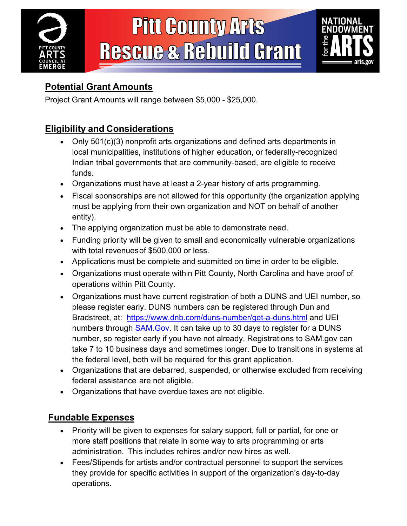



### **Potential Grant Amounts**

Project Grant Amounts will range between \$5,000 - \$25,000.

### **Eligibility and Considerations**

- Only 501(c)(3) nonprofit arts organizations and defined arts departments in local municipalities, institutions of higher education, or federally-recognized Indian tribal governments that are community-based, are eligible to receive funds.
- Organizations must have at least a 2-year history of arts programming.
- Fiscal sponsorships are not allowed for this opportunity (the organization applying must be applying from their own organization and NOT on behalf of another entity).
- The applying organization must be able to demonstrate need.
- Funding priority will be given to small and economically vulnerable organizations with total revenuesof \$500,000 or less.
- Applications must be complete and submitted on time in order to be eligible.
- Organizations must operate within Pitt County, North Carolina and have proof of operations within Pitt County.
- Organizations must have current registration of both a DUNS and UEI number, so please register early. DUNS numbers can be registered through Dun and Bradstreet, at: https://www.dnb.com/duns-number/get-a-duns.html and UEI numbers through **SAM.Gov.** It can take up to 30 days to register for a DUNS number, so register early if you have not already. Registrations to SAM.gov can take 7 to 10 business days and sometimes longer. Due to transitions in systems at the federal level, both will be required for this grant application.
- Organizations that are debarred, suspended, or otherwise excluded from receiving federal assistance are not eligible.
- Organizations that have overdue taxes are not eligible.

### **Fundable Expenses**

- Priority will be given to expenses for salary support, full or partial, for one or more staff positions that relate in some way to arts programming or arts administration. This includes rehires and/or new hires as well.
- Fees/Stipends for artists and/or contractual personnel to support the services they provide for specific activities in support of the organization's day-to-day operations.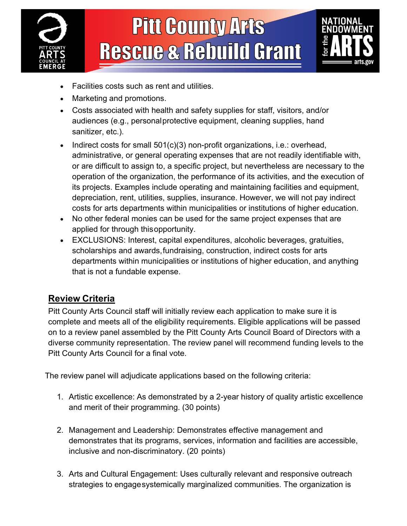



- Facilities costs such as rent and utilities.
- Marketing and promotions.
- Costs associated with health and safety supplies for staff, visitors, and/or audiences (e.g., personalprotective equipment, cleaning supplies, hand sanitizer, etc.).
- Indirect costs for small 501(c)(3) non-profit organizations, i.e.: overhead, administrative, or general operating expenses that are not readily identifiable with, or are difficult to assign to, a specific project, but nevertheless are necessary to the operation of the organization, the performance of its activities, and the execution of its projects. Examples include operating and maintaining facilities and equipment, depreciation, rent, utilities, supplies, insurance. However, we will not pay indirect costs for arts departments within municipalities or institutions of higher education.
- No other federal monies can be used for the same project expenses that are applied for through thisopportunity.
- EXCLUSIONS: Interest, capital expenditures, alcoholic beverages, gratuities, scholarships and awards, fundraising, construction, indirect costs for arts departments within municipalities or institutions of higher education, and anything that is not a fundable expense.

### **Review Criteria**

Pitt County Arts Council staff will initially review each application to make sure it is complete and meets all of the eligibility requirements. Eligible applications will be passed on to a review panel assembled by the Pitt County Arts Council Board of Directors with a diverse community representation. The review panel will recommend funding levels to the Pitt County Arts Council for a final vote.

The review panel will adjudicate applications based on the following criteria:

- 1. Artistic excellence: As demonstrated by a 2-year history of quality artistic excellence and merit of their programming. (30 points)
- 2. Management and Leadership: Demonstrates effective management and demonstrates that its programs, services, information and facilities are accessible, inclusive and non-discriminatory. (20 points)
- 3. Arts and Cultural Engagement: Uses culturally relevant and responsive outreach strategies to engagesystemically marginalized communities. The organization is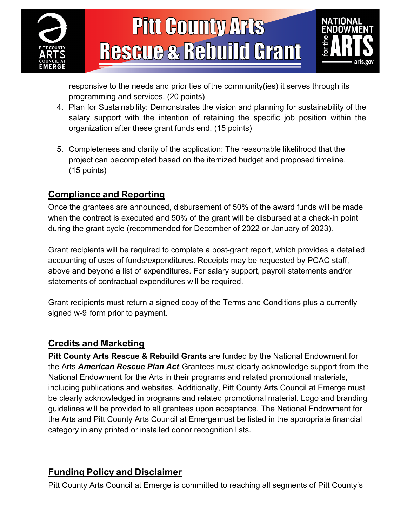



responsive to the needs and priorities ofthe community(ies) it serves through its programming and services. (20 points)

- 4. Plan for Sustainability: Demonstrates the vision and planning for sustainability of the salary support with the intention of retaining the specific job position within the organization after these grant funds end. (15 points)
- 5. Completeness and clarity of the application: The reasonable likelihood that the project can becompleted based on the itemized budget and proposed timeline. (15 points)

#### **Compliance and Reporting**

Once the grantees are announced, disbursement of 50% of the award funds will be made when the contract is executed and 50% of the grant will be disbursed at a check-in point during the grant cycle (recommended for December of 2022 or January of 2023).

Grant recipients will be required to complete a post-grant report, which provides a detailed accounting of uses of funds/expenditures. Receipts may be requested by PCAC staff, above and beyond a list of expenditures. For salary support, payroll statements and/or statements of contractual expenditures will be required.

Grant recipients must return a signed copy of the Terms and Conditions plus a currently signed w-9 form prior to payment.

#### **Credits and Marketing**

**Pitt County Arts Rescue & Rebuild Grants** are funded by the National Endowment for the Arts *American Rescue Plan Act.*Grantees must clearly acknowledge support from the National Endowment for the Arts in their programs and related promotional materials, including publications and websites. Additionally, Pitt County Arts Council at Emerge must be clearly acknowledged in programs and related promotional material. Logo and branding guidelines will be provided to all grantees upon acceptance. The National Endowment for the Arts and Pitt County Arts Council at Emergemust be listed in the appropriate financial category in any printed or installed donor recognition lists.

#### **Funding Policy and Disclaimer**

Pitt County Arts Council at Emerge is committed to reaching all segments of Pitt County's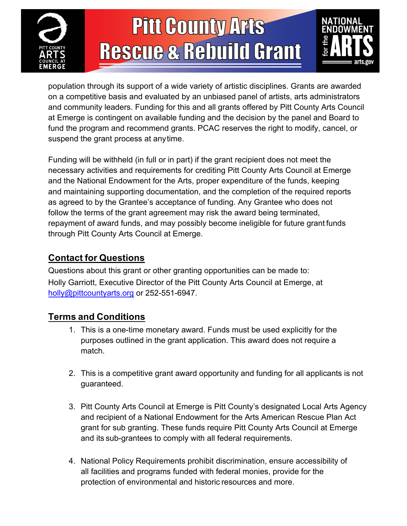



population through its support of a wide variety of artistic disciplines. Grants are awarded on a competitive basis and evaluated by an unbiased panel of artists, arts administrators and community leaders. Funding for this and all grants offered by Pitt County Arts Council at Emerge is contingent on available funding and the decision by the panel and Board to fund the program and recommend grants. PCAC reserves the right to modify, cancel, or suspend the grant process at anytime.

Funding will be withheld (in full or in part) if the grant recipient does not meet the necessary activities and requirements for crediting Pitt County Arts Council at Emerge and the National Endowment for the Arts, proper expenditure of the funds, keeping and maintaining supporting documentation, and the completion of the required reports as agreed to by the Grantee's acceptance of funding. Any Grantee who does not follow the terms of the grant agreement may risk the award being terminated, repayment of award funds, and may possibly become ineligible for future grant funds through Pitt County Arts Council at Emerge.

#### **Contact for Questions**

Questions about this grant or other granting opportunities can be made to: Holly Garriott, Executive Director of the Pitt County Arts Council at Emerge, at holly@pittcountyarts.org or 252-551-6947.

#### **Terms and Conditions**

- 1. This is a one-time monetary award. Funds must be used explicitly for the purposes outlined in the grant application. This award does not require a match.
- 2. This is a competitive grant award opportunity and funding for all applicants is not guaranteed.
- 3. Pitt County Arts Council at Emerge is Pitt County's designated Local Arts Agency and recipient of a National Endowment for the Arts American Rescue Plan Act grant for sub granting. These funds require Pitt County Arts Council at Emerge and its sub-grantees to comply with all federal requirements.
- 4. National Policy Requirements prohibit discrimination, ensure accessibility of all facilities and programs funded with federal monies, provide for the protection of environmental and historic resources and more.